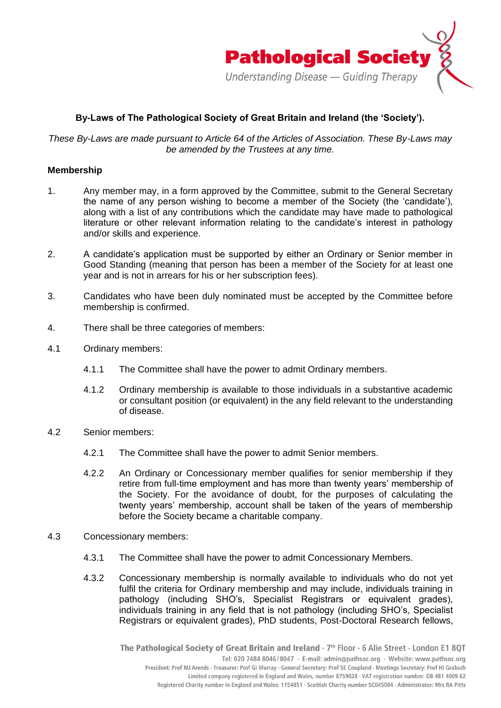

# **By-Laws of The Pathological Society of Great Britain and Ireland (the 'Society').**

*These By-Laws are made pursuant to Article 64 of the Articles of Association. These By-Laws may be amended by the Trustees at any time.*

## **Membership**

- 1. Any member may, in a form approved by the Committee, submit to the General Secretary the name of any person wishing to become a member of the Society (the 'candidate'), along with a list of any contributions which the candidate may have made to pathological literature or other relevant information relating to the candidate's interest in pathology and/or skills and experience.
- 2. A candidate's application must be supported by either an Ordinary or Senior member in Good Standing (meaning that person has been a member of the Society for at least one year and is not in arrears for his or her subscription fees).
- 3. Candidates who have been duly nominated must be accepted by the Committee before membership is confirmed.
- 4. There shall be three categories of members:
- 4.1 Ordinary members:
	- 4.1.1 The Committee shall have the power to admit Ordinary members.
	- 4.1.2 Ordinary membership is available to those individuals in a substantive academic or consultant position (or equivalent) in the any field relevant to the understanding of disease.
- 4.2 Senior members:
	- 4.2.1 The Committee shall have the power to admit Senior members.
	- 4.2.2 An Ordinary or Concessionary member qualifies for senior membership if they retire from full-time employment and has more than twenty years' membership of the Society. For the avoidance of doubt, for the purposes of calculating the twenty years' membership, account shall be taken of the years of membership before the Society became a charitable company.
- 4.3 Concessionary members:
	- 4.3.1 The Committee shall have the power to admit Concessionary Members.
	- 4.3.2 Concessionary membership is normally available to individuals who do not yet fulfil the criteria for Ordinary membership and may include, individuals training in pathology (including SHO's, Specialist Registrars or equivalent grades), individuals training in any field that is not pathology (including SHO's, Specialist Registrars or equivalent grades), PhD students, Post-Doctoral Research fellows,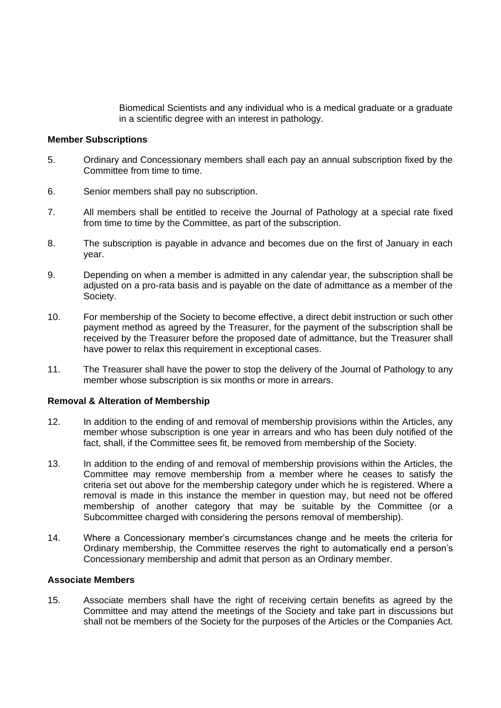Biomedical Scientists and any individual who is a medical graduate or a graduate in a scientific degree with an interest in pathology.

### **Member Subscriptions**

- 5. Ordinary and Concessionary members shall each pay an annual subscription fixed by the Committee from time to time.
- 6. Senior members shall pay no subscription.
- 7. All members shall be entitled to receive the Journal of Pathology at a special rate fixed from time to time by the Committee, as part of the subscription.
- 8. The subscription is payable in advance and becomes due on the first of January in each year.
- 9. Depending on when a member is admitted in any calendar year, the subscription shall be adjusted on a pro-rata basis and is payable on the date of admittance as a member of the Society.
- 10. For membership of the Society to become effective, a direct debit instruction or such other payment method as agreed by the Treasurer, for the payment of the subscription shall be received by the Treasurer before the proposed date of admittance, but the Treasurer shall have power to relax this requirement in exceptional cases.
- 11. The Treasurer shall have the power to stop the delivery of the Journal of Pathology to any member whose subscription is six months or more in arrears.

#### **Removal & Alteration of Membership**

- 12. In addition to the ending of and removal of membership provisions within the Articles, any member whose subscription is one year in arrears and who has been duly notified of the fact, shall, if the Committee sees fit, be removed from membership of the Society.
- 13. In addition to the ending of and removal of membership provisions within the Articles, the Committee may remove membership from a member where he ceases to satisfy the criteria set out above for the membership category under which he is registered. Where a removal is made in this instance the member in question may, but need not be offered membership of another category that may be suitable by the Committee (or a Subcommittee charged with considering the persons removal of membership).
- 14. Where a Concessionary member's circumstances change and he meets the criteria for Ordinary membership, the Committee reserves the right to automatically end a person's Concessionary membership and admit that person as an Ordinary member.

#### **Associate Members**

15. Associate members shall have the right of receiving certain benefits as agreed by the Committee and may attend the meetings of the Society and take part in discussions but shall not be members of the Society for the purposes of the Articles or the Companies Act.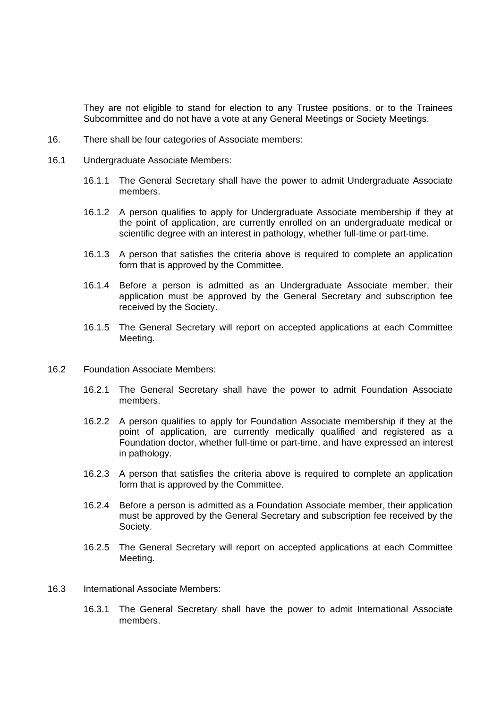They are not eligible to stand for election to any Trustee positions, or to the Trainees Subcommittee and do not have a vote at any General Meetings or Society Meetings.

- 16. There shall be four categories of Associate members:
- 16.1 Undergraduate Associate Members:
	- 16.1.1 The General Secretary shall have the power to admit Undergraduate Associate members.
	- 16.1.2 A person qualifies to apply for Undergraduate Associate membership if they at the point of application, are currently enrolled on an undergraduate medical or scientific degree with an interest in pathology, whether full-time or part-time.
	- 16.1.3 A person that satisfies the criteria above is required to complete an application form that is approved by the Committee.
	- 16.1.4 Before a person is admitted as an Undergraduate Associate member, their application must be approved by the General Secretary and subscription fee received by the Society.
	- 16.1.5 The General Secretary will report on accepted applications at each Committee Meeting.
- 16.2 Foundation Associate Members:
	- 16.2.1 The General Secretary shall have the power to admit Foundation Associate members.
	- 16.2.2 A person qualifies to apply for Foundation Associate membership if they at the point of application, are currently medically qualified and registered as a Foundation doctor, whether full-time or part-time, and have expressed an interest in pathology.
	- 16.2.3 A person that satisfies the criteria above is required to complete an application form that is approved by the Committee.
	- 16.2.4 Before a person is admitted as a Foundation Associate member, their application must be approved by the General Secretary and subscription fee received by the Society.
	- 16.2.5 The General Secretary will report on accepted applications at each Committee Meeting.
- 16.3 International Associate Members:
	- 16.3.1 The General Secretary shall have the power to admit International Associate members.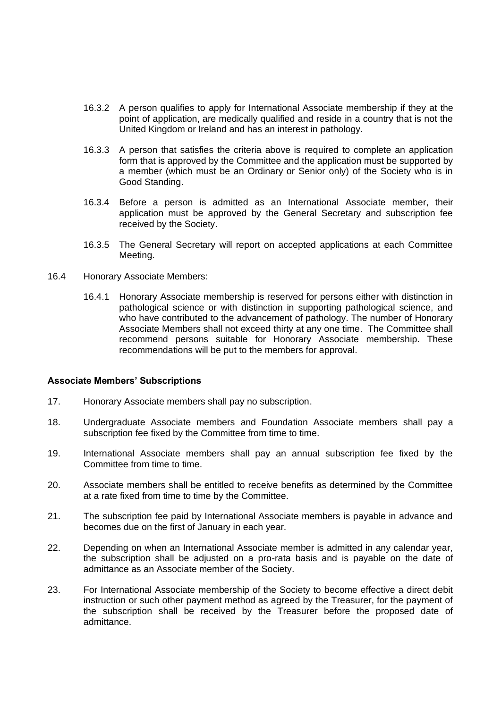- 16.3.2 A person qualifies to apply for International Associate membership if they at the point of application, are medically qualified and reside in a country that is not the United Kingdom or Ireland and has an interest in pathology.
- 16.3.3 A person that satisfies the criteria above is required to complete an application form that is approved by the Committee and the application must be supported by a member (which must be an Ordinary or Senior only) of the Society who is in Good Standing.
- 16.3.4 Before a person is admitted as an International Associate member, their application must be approved by the General Secretary and subscription fee received by the Society.
- 16.3.5 The General Secretary will report on accepted applications at each Committee Meeting.
- 16.4 Honorary Associate Members:
	- 16.4.1 Honorary Associate membership is reserved for persons either with distinction in pathological science or with distinction in supporting pathological science, and who have contributed to the advancement of pathology. The number of Honorary Associate Members shall not exceed thirty at any one time. The Committee shall recommend persons suitable for Honorary Associate membership. These recommendations will be put to the members for approval.

## **Associate Members' Subscriptions**

- 17. Honorary Associate members shall pay no subscription.
- 18. Undergraduate Associate members and Foundation Associate members shall pay a subscription fee fixed by the Committee from time to time.
- 19. International Associate members shall pay an annual subscription fee fixed by the Committee from time to time.
- 20. Associate members shall be entitled to receive benefits as determined by the Committee at a rate fixed from time to time by the Committee.
- 21. The subscription fee paid by International Associate members is payable in advance and becomes due on the first of January in each year.
- 22. Depending on when an International Associate member is admitted in any calendar year, the subscription shall be adjusted on a pro-rata basis and is payable on the date of admittance as an Associate member of the Society.
- 23. For International Associate membership of the Society to become effective a direct debit instruction or such other payment method as agreed by the Treasurer, for the payment of the subscription shall be received by the Treasurer before the proposed date of admittance.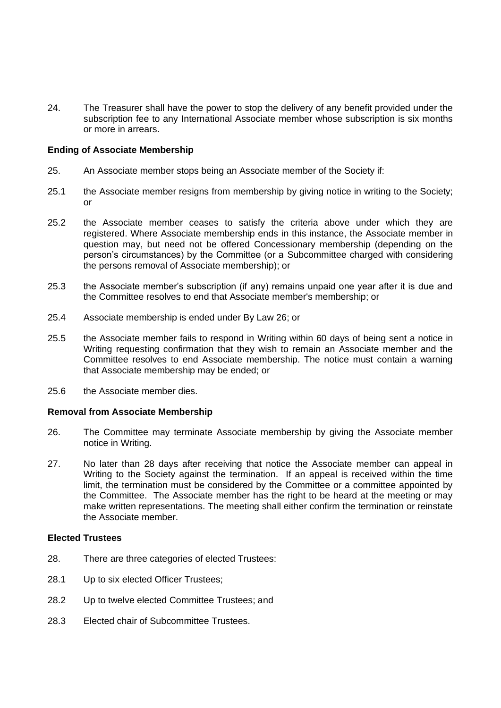24. The Treasurer shall have the power to stop the delivery of any benefit provided under the subscription fee to any International Associate member whose subscription is six months or more in arrears.

## **Ending of Associate Membership**

- 25. An Associate member stops being an Associate member of the Society if:
- 25.1 the Associate member resigns from membership by giving notice in writing to the Society; or
- 25.2 the Associate member ceases to satisfy the criteria above under which they are registered. Where Associate membership ends in this instance, the Associate member in question may, but need not be offered Concessionary membership (depending on the person's circumstances) by the Committee (or a Subcommittee charged with considering the persons removal of Associate membership); or
- 25.3 the Associate member's subscription (if any) remains unpaid one year after it is due and the Committee resolves to end that Associate member's membership; or
- 25.4 Associate membership is ended under By Law 26; or
- 25.5 the Associate member fails to respond in Writing within 60 days of being sent a notice in Writing requesting confirmation that they wish to remain an Associate member and the Committee resolves to end Associate membership. The notice must contain a warning that Associate membership may be ended; or
- 25.6 the Associate member dies.

### **Removal from Associate Membership**

- 26. The Committee may terminate Associate membership by giving the Associate member notice in Writing.
- 27. No later than 28 days after receiving that notice the Associate member can appeal in Writing to the Society against the termination. If an appeal is received within the time limit, the termination must be considered by the Committee or a committee appointed by the Committee. The Associate member has the right to be heard at the meeting or may make written representations. The meeting shall either confirm the termination or reinstate the Associate member.

## **Elected Trustees**

- 28. There are three categories of elected Trustees:
- 28.1 Up to six elected Officer Trustees;
- 28.2 Up to twelve elected Committee Trustees; and
- 28.3 Elected chair of Subcommittee Trustees.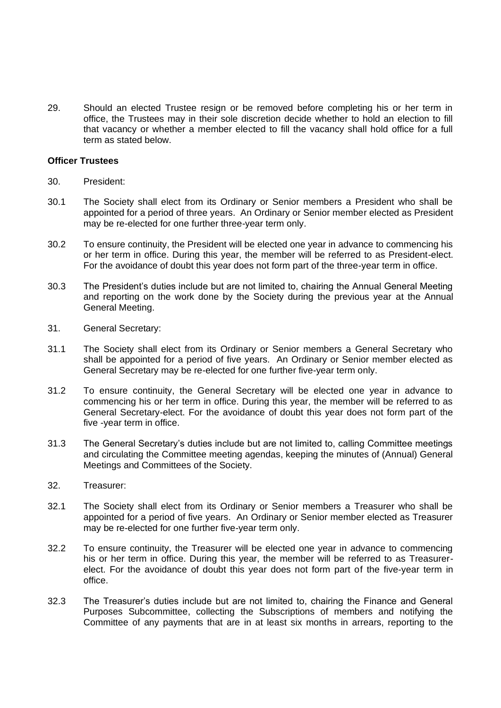29. Should an elected Trustee resign or be removed before completing his or her term in office, the Trustees may in their sole discretion decide whether to hold an election to fill that vacancy or whether a member elected to fill the vacancy shall hold office for a full term as stated below.

## **Officer Trustees**

- 30. President:
- 30.1 The Society shall elect from its Ordinary or Senior members a President who shall be appointed for a period of three years. An Ordinary or Senior member elected as President may be re-elected for one further three-year term only.
- 30.2 To ensure continuity, the President will be elected one year in advance to commencing his or her term in office. During this year, the member will be referred to as President-elect. For the avoidance of doubt this year does not form part of the three-year term in office.
- 30.3 The President's duties include but are not limited to, chairing the Annual General Meeting and reporting on the work done by the Society during the previous year at the Annual General Meeting.
- 31. General Secretary:
- 31.1 The Society shall elect from its Ordinary or Senior members a General Secretary who shall be appointed for a period of five years. An Ordinary or Senior member elected as General Secretary may be re-elected for one further five-year term only.
- 31.2 To ensure continuity, the General Secretary will be elected one year in advance to commencing his or her term in office. During this year, the member will be referred to as General Secretary-elect. For the avoidance of doubt this year does not form part of the five -year term in office.
- 31.3 The General Secretary's duties include but are not limited to, calling Committee meetings and circulating the Committee meeting agendas, keeping the minutes of (Annual) General Meetings and Committees of the Society.
- 32. Treasurer:
- 32.1 The Society shall elect from its Ordinary or Senior members a Treasurer who shall be appointed for a period of five years. An Ordinary or Senior member elected as Treasurer may be re-elected for one further five-year term only.
- 32.2 To ensure continuity, the Treasurer will be elected one year in advance to commencing his or her term in office. During this year, the member will be referred to as Treasurerelect. For the avoidance of doubt this year does not form part of the five-year term in office.
- 32.3 The Treasurer's duties include but are not limited to, chairing the Finance and General Purposes Subcommittee, collecting the Subscriptions of members and notifying the Committee of any payments that are in at least six months in arrears, reporting to the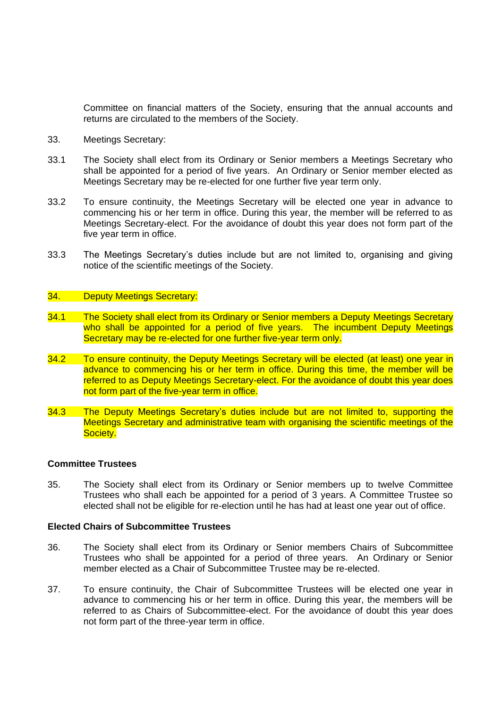Committee on financial matters of the Society, ensuring that the annual accounts and returns are circulated to the members of the Society.

- 33. Meetings Secretary:
- 33.1 The Society shall elect from its Ordinary or Senior members a Meetings Secretary who shall be appointed for a period of five years. An Ordinary or Senior member elected as Meetings Secretary may be re-elected for one further five year term only.
- 33.2 To ensure continuity, the Meetings Secretary will be elected one year in advance to commencing his or her term in office. During this year, the member will be referred to as Meetings Secretary-elect. For the avoidance of doubt this year does not form part of the five year term in office.
- 33.3 The Meetings Secretary's duties include but are not limited to, organising and giving notice of the scientific meetings of the Society.

### 34. Deputy Meetings Secretary:

- 34.1 The Society shall elect from its Ordinary or Senior members a Deputy Meetings Secretary who shall be appointed for a period of five years. The incumbent Deputy Meetings Secretary may be re-elected for one further five-year term only.
- 34.2 To ensure continuity, the Deputy Meetings Secretary will be elected (at least) one year in advance to commencing his or her term in office. During this time, the member will be referred to as Deputy Meetings Secretary-elect. For the avoidance of doubt this year does not form part of the five-year term in office.
- 34.3 The Deputy Meetings Secretary's duties include but are not limited to, supporting the Meetings Secretary and administrative team with organising the scientific meetings of the Society.

#### **Committee Trustees**

35. The Society shall elect from its Ordinary or Senior members up to twelve Committee Trustees who shall each be appointed for a period of 3 years. A Committee Trustee so elected shall not be eligible for re-election until he has had at least one year out of office.

#### **Elected Chairs of Subcommittee Trustees**

- 36. The Society shall elect from its Ordinary or Senior members Chairs of Subcommittee Trustees who shall be appointed for a period of three years. An Ordinary or Senior member elected as a Chair of Subcommittee Trustee may be re-elected.
- 37. To ensure continuity, the Chair of Subcommittee Trustees will be elected one year in advance to commencing his or her term in office. During this year, the members will be referred to as Chairs of Subcommittee-elect. For the avoidance of doubt this year does not form part of the three-year term in office.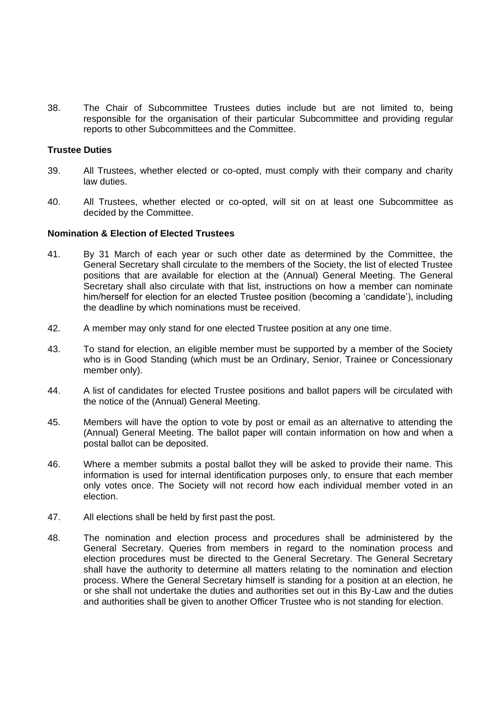38. The Chair of Subcommittee Trustees duties include but are not limited to, being responsible for the organisation of their particular Subcommittee and providing regular reports to other Subcommittees and the Committee.

### **Trustee Duties**

- 39. All Trustees, whether elected or co-opted, must comply with their company and charity law duties.
- 40. All Trustees, whether elected or co-opted, will sit on at least one Subcommittee as decided by the Committee.

#### **Nomination & Election of Elected Trustees**

- 41. By 31 March of each year or such other date as determined by the Committee, the General Secretary shall circulate to the members of the Society, the list of elected Trustee positions that are available for election at the (Annual) General Meeting. The General Secretary shall also circulate with that list, instructions on how a member can nominate him/herself for election for an elected Trustee position (becoming a 'candidate'), including the deadline by which nominations must be received.
- 42. A member may only stand for one elected Trustee position at any one time.
- 43. To stand for election, an eligible member must be supported by a member of the Society who is in Good Standing (which must be an Ordinary, Senior, Trainee or Concessionary member only).
- 44. A list of candidates for elected Trustee positions and ballot papers will be circulated with the notice of the (Annual) General Meeting.
- 45. Members will have the option to vote by post or email as an alternative to attending the (Annual) General Meeting. The ballot paper will contain information on how and when a postal ballot can be deposited.
- 46. Where a member submits a postal ballot they will be asked to provide their name. This information is used for internal identification purposes only, to ensure that each member only votes once. The Society will not record how each individual member voted in an election.
- 47. All elections shall be held by first past the post.
- 48. The nomination and election process and procedures shall be administered by the General Secretary. Queries from members in regard to the nomination process and election procedures must be directed to the General Secretary. The General Secretary shall have the authority to determine all matters relating to the nomination and election process. Where the General Secretary himself is standing for a position at an election, he or she shall not undertake the duties and authorities set out in this By-Law and the duties and authorities shall be given to another Officer Trustee who is not standing for election.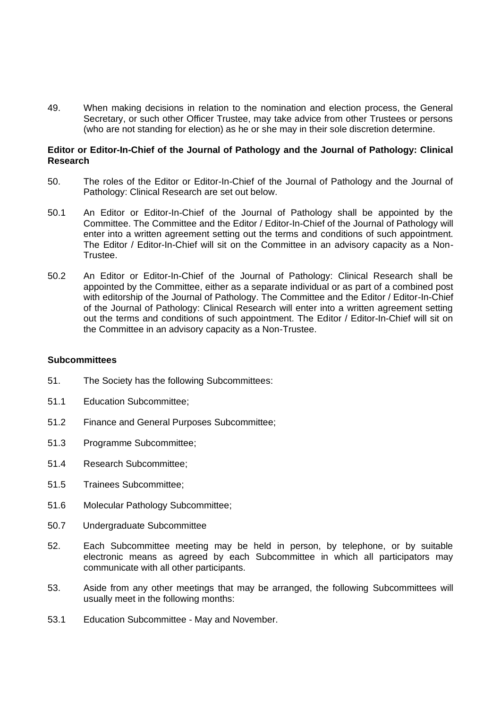49. When making decisions in relation to the nomination and election process, the General Secretary, or such other Officer Trustee, may take advice from other Trustees or persons (who are not standing for election) as he or she may in their sole discretion determine.

## **Editor or Editor-In-Chief of the Journal of Pathology and the Journal of Pathology: Clinical Research**

- 50. The roles of the Editor or Editor-In-Chief of the Journal of Pathology and the Journal of Pathology: Clinical Research are set out below.
- 50.1 An Editor or Editor-In-Chief of the Journal of Pathology shall be appointed by the Committee. The Committee and the Editor / Editor-In-Chief of the Journal of Pathology will enter into a written agreement setting out the terms and conditions of such appointment. The Editor / Editor-In-Chief will sit on the Committee in an advisory capacity as a Non-Trustee.
- 50.2 An Editor or Editor-In-Chief of the Journal of Pathology: Clinical Research shall be appointed by the Committee, either as a separate individual or as part of a combined post with editorship of the Journal of Pathology. The Committee and the Editor / Editor-In-Chief of the Journal of Pathology: Clinical Research will enter into a written agreement setting out the terms and conditions of such appointment. The Editor / Editor-In-Chief will sit on the Committee in an advisory capacity as a Non-Trustee.

### **Subcommittees**

- 51. The Society has the following Subcommittees:
- 51.1 Education Subcommittee;
- 51.2 Finance and General Purposes Subcommittee;
- 51.3 Programme Subcommittee;
- 51.4 Research Subcommittee;
- 51.5 Trainees Subcommittee;
- 51.6 Molecular Pathology Subcommittee;
- 50.7 Undergraduate Subcommittee
- 52. Each Subcommittee meeting may be held in person, by telephone, or by suitable electronic means as agreed by each Subcommittee in which all participators may communicate with all other participants.
- 53. Aside from any other meetings that may be arranged, the following Subcommittees will usually meet in the following months:
- 53.1 Education Subcommittee May and November.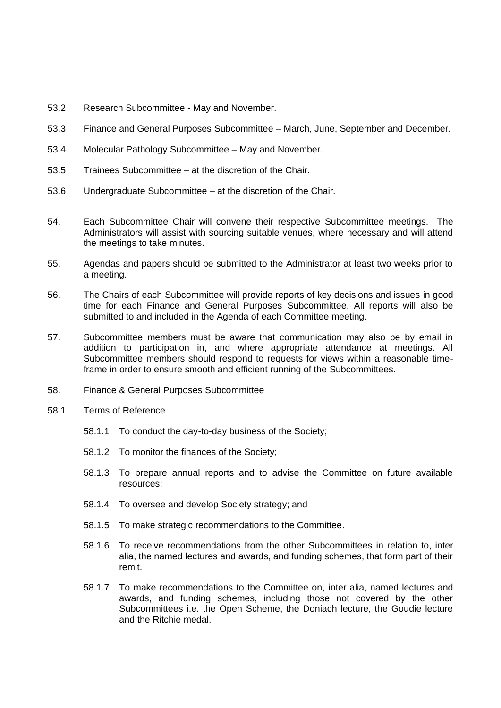- 53.2 Research Subcommittee May and November.
- 53.3 Finance and General Purposes Subcommittee March, June, September and December.
- 53.4 Molecular Pathology Subcommittee May and November.
- 53.5 Trainees Subcommittee at the discretion of the Chair.
- 53.6 Undergraduate Subcommittee at the discretion of the Chair.
- 54. Each Subcommittee Chair will convene their respective Subcommittee meetings. The Administrators will assist with sourcing suitable venues, where necessary and will attend the meetings to take minutes.
- 55. Agendas and papers should be submitted to the Administrator at least two weeks prior to a meeting.
- 56. The Chairs of each Subcommittee will provide reports of key decisions and issues in good time for each Finance and General Purposes Subcommittee. All reports will also be submitted to and included in the Agenda of each Committee meeting.
- 57. Subcommittee members must be aware that communication may also be by email in addition to participation in, and where appropriate attendance at meetings. All Subcommittee members should respond to requests for views within a reasonable timeframe in order to ensure smooth and efficient running of the Subcommittees.
- 58. Finance & General Purposes Subcommittee
- 58.1 Terms of Reference
	- 58.1.1 To conduct the day-to-day business of the Society;
	- 58.1.2 To monitor the finances of the Society;
	- 58.1.3 To prepare annual reports and to advise the Committee on future available resources;
	- 58.1.4 To oversee and develop Society strategy; and
	- 58.1.5 To make strategic recommendations to the Committee.
	- 58.1.6 To receive recommendations from the other Subcommittees in relation to, inter alia, the named lectures and awards, and funding schemes, that form part of their remit.
	- 58.1.7 To make recommendations to the Committee on, inter alia, named lectures and awards, and funding schemes, including those not covered by the other Subcommittees i.e. the Open Scheme, the Doniach lecture, the Goudie lecture and the Ritchie medal.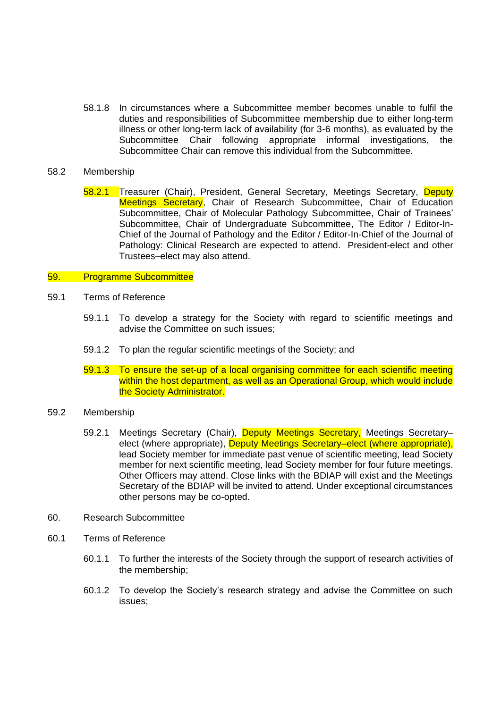58.1.8 In circumstances where a Subcommittee member becomes unable to fulfil the duties and responsibilities of Subcommittee membership due to either long-term illness or other long-term lack of availability (for 3-6 months), as evaluated by the Subcommittee Chair following appropriate informal investigations, the Subcommittee Chair can remove this individual from the Subcommittee.

### 58.2 Membership

58.2.1 Treasurer (Chair), President, General Secretary, Meetings Secretary, Deputy Meetings Secretary, Chair of Research Subcommittee, Chair of Education Subcommittee, Chair of Molecular Pathology Subcommittee, Chair of Trainees' Subcommittee, Chair of Undergraduate Subcommittee, The Editor / Editor-In-Chief of the Journal of Pathology and the Editor / Editor-In-Chief of the Journal of Pathology: Clinical Research are expected to attend. President-elect and other Trustees–elect may also attend.

### 59. Programme Subcommittee

- 59.1 Terms of Reference
	- 59.1.1 To develop a strategy for the Society with regard to scientific meetings and advise the Committee on such issues;
	- 59.1.2 To plan the regular scientific meetings of the Society; and
	- 59.1.3 To ensure the set-up of a local organising committee for each scientific meeting within the host department, as well as an Operational Group, which would include the Society Administrator.

## 59.2 Membership

- 59.2.1 Meetings Secretary (Chair), Deputy Meetings Secretary, Meetings Secretaryelect (where appropriate), Deputy Meetings Secretary-elect (where appropriate), lead Society member for immediate past venue of scientific meeting, lead Society member for next scientific meeting, lead Society member for four future meetings. Other Officers may attend. Close links with the BDIAP will exist and the Meetings Secretary of the BDIAP will be invited to attend. Under exceptional circumstances other persons may be co-opted.
- 60. Research Subcommittee
- 60.1 Terms of Reference
	- 60.1.1 To further the interests of the Society through the support of research activities of the membership;
	- 60.1.2 To develop the Society's research strategy and advise the Committee on such issues;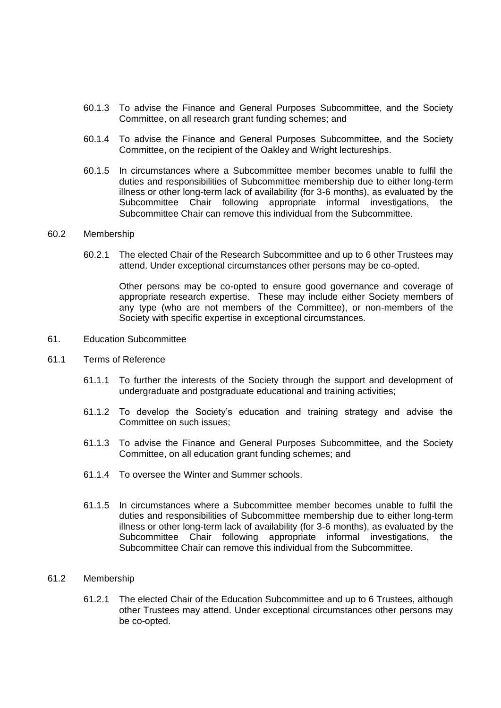- 60.1.3 To advise the Finance and General Purposes Subcommittee, and the Society Committee, on all research grant funding schemes; and
- 60.1.4 To advise the Finance and General Purposes Subcommittee, and the Society Committee, on the recipient of the Oakley and Wright lectureships.
- 60.1.5 In circumstances where a Subcommittee member becomes unable to fulfil the duties and responsibilities of Subcommittee membership due to either long-term illness or other long-term lack of availability (for 3-6 months), as evaluated by the Subcommittee Chair following appropriate informal investigations, the Subcommittee Chair can remove this individual from the Subcommittee.

### 60.2 Membership

60.2.1 The elected Chair of the Research Subcommittee and up to 6 other Trustees may attend. Under exceptional circumstances other persons may be co-opted.

Other persons may be co-opted to ensure good governance and coverage of appropriate research expertise. These may include either Society members of any type (who are not members of the Committee), or non-members of the Society with specific expertise in exceptional circumstances.

- 61. Education Subcommittee
- 61.1 Terms of Reference
	- 61.1.1 To further the interests of the Society through the support and development of undergraduate and postgraduate educational and training activities;
	- 61.1.2 To develop the Society's education and training strategy and advise the Committee on such issues;
	- 61.1.3 To advise the Finance and General Purposes Subcommittee, and the Society Committee, on all education grant funding schemes; and
	- 61.1.4 To oversee the Winter and Summer schools.
	- 61.1.5 In circumstances where a Subcommittee member becomes unable to fulfil the duties and responsibilities of Subcommittee membership due to either long-term illness or other long-term lack of availability (for 3-6 months), as evaluated by the Subcommittee Chair following appropriate informal investigations, the Subcommittee Chair can remove this individual from the Subcommittee.

### 61.2 Membership

61.2.1 The elected Chair of the Education Subcommittee and up to 6 Trustees, although other Trustees may attend. Under exceptional circumstances other persons may be co-opted.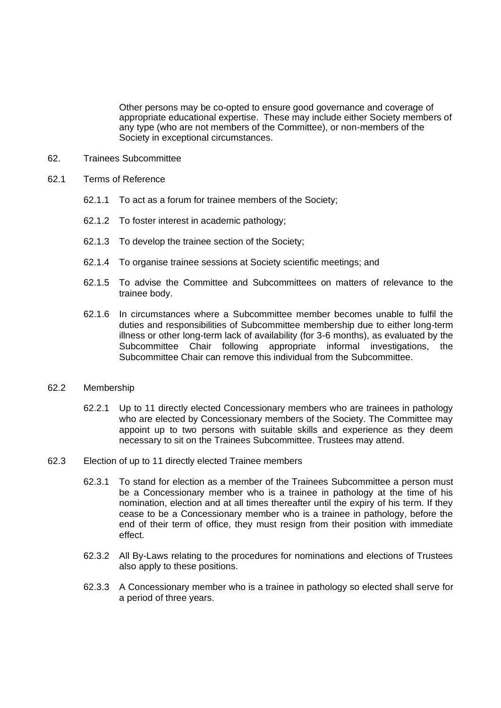Other persons may be co-opted to ensure good governance and coverage of appropriate educational expertise. These may include either Society members of any type (who are not members of the Committee), or non-members of the Society in exceptional circumstances.

- 62. Trainees Subcommittee
- 62.1 Terms of Reference
	- 62.1.1 To act as a forum for trainee members of the Society;
	- 62.1.2 To foster interest in academic pathology;
	- 62.1.3 To develop the trainee section of the Society;
	- 62.1.4 To organise trainee sessions at Society scientific meetings; and
	- 62.1.5 To advise the Committee and Subcommittees on matters of relevance to the trainee body.
	- 62.1.6 In circumstances where a Subcommittee member becomes unable to fulfil the duties and responsibilities of Subcommittee membership due to either long-term illness or other long-term lack of availability (for 3-6 months), as evaluated by the Subcommittee Chair following appropriate informal investigations, the Subcommittee Chair can remove this individual from the Subcommittee.

### 62.2 Membership

- 62.2.1 Up to 11 directly elected Concessionary members who are trainees in pathology who are elected by Concessionary members of the Society. The Committee may appoint up to two persons with suitable skills and experience as they deem necessary to sit on the Trainees Subcommittee. Trustees may attend.
- 62.3 Election of up to 11 directly elected Trainee members
	- 62.3.1 To stand for election as a member of the Trainees Subcommittee a person must be a Concessionary member who is a trainee in pathology at the time of his nomination, election and at all times thereafter until the expiry of his term. If they cease to be a Concessionary member who is a trainee in pathology, before the end of their term of office, they must resign from their position with immediate effect.
	- 62.3.2 All By-Laws relating to the procedures for nominations and elections of Trustees also apply to these positions.
	- 62.3.3 A Concessionary member who is a trainee in pathology so elected shall serve for a period of three years.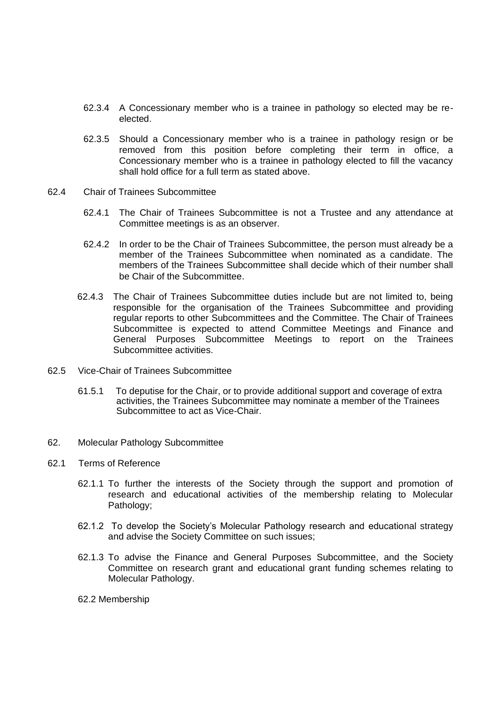- 62.3.4 A Concessionary member who is a trainee in pathology so elected may be reelected.
- 62.3.5 Should a Concessionary member who is a trainee in pathology resign or be removed from this position before completing their term in office, a Concessionary member who is a trainee in pathology elected to fill the vacancy shall hold office for a full term as stated above.
- 62.4 Chair of Trainees Subcommittee
	- 62.4.1 The Chair of Trainees Subcommittee is not a Trustee and any attendance at Committee meetings is as an observer.
	- 62.4.2 In order to be the Chair of Trainees Subcommittee, the person must already be a member of the Trainees Subcommittee when nominated as a candidate. The members of the Trainees Subcommittee shall decide which of their number shall be Chair of the Subcommittee.
	- 62.4.3 The Chair of Trainees Subcommittee duties include but are not limited to, being responsible for the organisation of the Trainees Subcommittee and providing regular reports to other Subcommittees and the Committee. The Chair of Trainees Subcommittee is expected to attend Committee Meetings and Finance and General Purposes Subcommittee Meetings to report on the Trainees Subcommittee activities.
- 62.5 Vice-Chair of Trainees Subcommittee
	- 61.5.1 To deputise for the Chair, or to provide additional support and coverage of extra activities, the Trainees Subcommittee may nominate a member of the Trainees Subcommittee to act as Vice-Chair.
- 62. Molecular Pathology Subcommittee
- 62.1 Terms of Reference
	- 62.1.1 To further the interests of the Society through the support and promotion of research and educational activities of the membership relating to Molecular Pathology;
	- 62.1.2 To develop the Society's Molecular Pathology research and educational strategy and advise the Society Committee on such issues;
	- 62.1.3 To advise the Finance and General Purposes Subcommittee, and the Society Committee on research grant and educational grant funding schemes relating to Molecular Pathology.
	- 62.2 Membership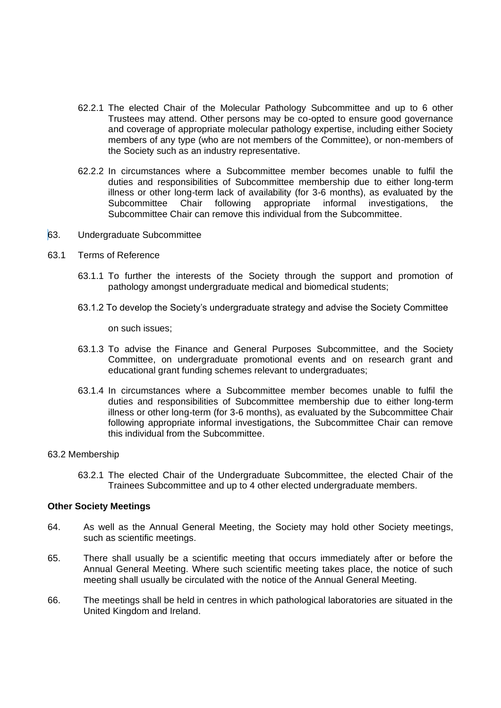- 62.2.1 The elected Chair of the Molecular Pathology Subcommittee and up to 6 other Trustees may attend. Other persons may be co-opted to ensure good governance and coverage of appropriate molecular pathology expertise, including either Society members of any type (who are not members of the Committee), or non-members of the Society such as an industry representative.
- 62.2.2 In circumstances where a Subcommittee member becomes unable to fulfil the duties and responsibilities of Subcommittee membership due to either long-term illness or other long-term lack of availability (for 3-6 months), as evaluated by the Subcommittee Chair following appropriate informal investigations, the Subcommittee Chair can remove this individual from the Subcommittee.
- 63. Undergraduate Subcommittee
- 63.1 Terms of Reference
	- 63.1.1 To further the interests of the Society through the support and promotion of pathology amongst undergraduate medical and biomedical students;
	- 63.1.2 To develop the Society's undergraduate strategy and advise the Society Committee

on such issues;

- 63.1.3 To advise the Finance and General Purposes Subcommittee, and the Society Committee, on undergraduate promotional events and on research grant and educational grant funding schemes relevant to undergraduates;
- 63.1.4 In circumstances where a Subcommittee member becomes unable to fulfil the duties and responsibilities of Subcommittee membership due to either long-term illness or other long-term (for 3-6 months), as evaluated by the Subcommittee Chair following appropriate informal investigations, the Subcommittee Chair can remove this individual from the Subcommittee.

#### 63.2 Membership

63.2.1 The elected Chair of the Undergraduate Subcommittee, the elected Chair of the Trainees Subcommittee and up to 4 other elected undergraduate members.

#### **Other Society Meetings**

- 64. As well as the Annual General Meeting, the Society may hold other Society meetings, such as scientific meetings.
- 65. There shall usually be a scientific meeting that occurs immediately after or before the Annual General Meeting. Where such scientific meeting takes place, the notice of such meeting shall usually be circulated with the notice of the Annual General Meeting.
- 66. The meetings shall be held in centres in which pathological laboratories are situated in the United Kingdom and Ireland.